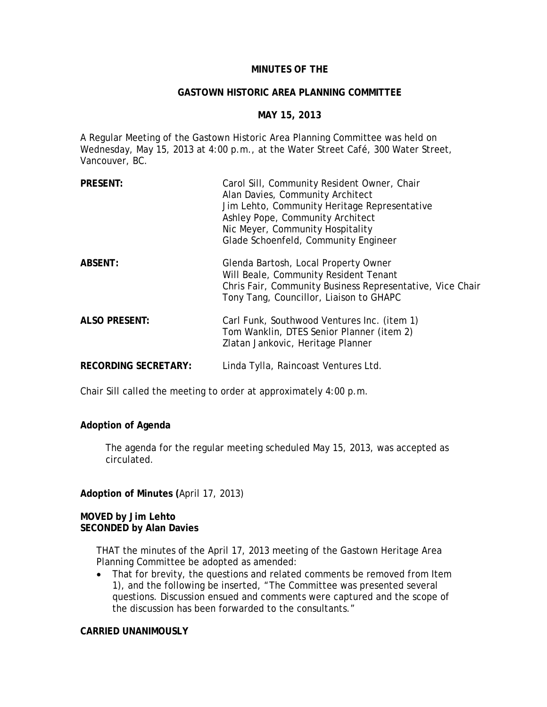# **MINUTES OF THE**

#### **GASTOWN HISTORIC AREA PLANNING COMMITTEE**

## **MAY 15, 2013**

A Regular Meeting of the Gastown Historic Area Planning Committee was held on Wednesday, May 15, 2013 at 4:00 p.m., at the Water Street Café, 300 Water Street, Vancouver, BC.

| <b>PRESENT:</b>             | Carol Sill, Community Resident Owner, Chair<br>Alan Davies, Community Architect<br>Jim Lehto, Community Heritage Representative<br>Ashley Pope, Community Architect<br>Nic Meyer, Community Hospitality<br>Glade Schoenfeld, Community Engineer |
|-----------------------------|-------------------------------------------------------------------------------------------------------------------------------------------------------------------------------------------------------------------------------------------------|
| <b>ABSENT:</b>              | Glenda Bartosh, Local Property Owner<br>Will Beale, Community Resident Tenant<br>Chris Fair, Community Business Representative, Vice Chair<br>Tony Tang, Councillor, Liaison to GHAPC                                                           |
| <b>ALSO PRESENT:</b>        | Carl Funk, Southwood Ventures Inc. (item 1)<br>Tom Wanklin, DTES Senior Planner (item 2)<br>Zlatan Jankovic, Heritage Planner                                                                                                                   |
| <b>RECORDING SECRETARY:</b> | Linda Tylla, Raincoast Ventures Ltd.                                                                                                                                                                                                            |

Chair Sill called the meeting to order at approximately 4:00 p.m.

## **Adoption of Agenda**

The agenda for the regular meeting scheduled May 15, 2013, was accepted as circulated.

**Adoption of Minutes (**April 17, 2013)

### **MOVED by Jim Lehto SECONDED by Alan Davies**

THAT the minutes of the April 17, 2013 meeting of the Gastown Heritage Area Planning Committee be adopted as amended:

• That for brevity, the questions and related comments be removed from Item 1), and the following be inserted, "The Committee was presented several questions. Discussion ensued and comments were captured and the scope of the discussion has been forwarded to the consultants."

### **CARRIED UNANIMOUSLY**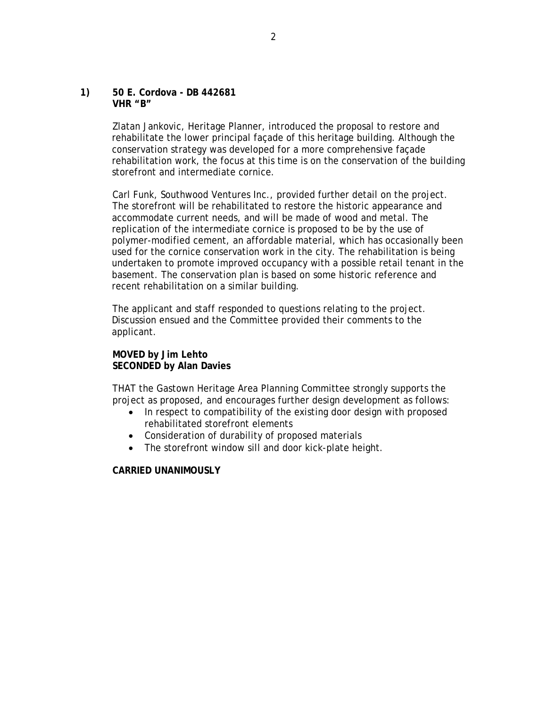#### **1) 50 E. Cordova - DB 442681 VHR "B"**

Zlatan Jankovic, Heritage Planner, introduced the proposal to restore and rehabilitate the lower principal façade of this heritage building. Although the conservation strategy was developed for a more comprehensive façade rehabilitation work, the focus at this time is on the conservation of the building storefront and intermediate cornice.

Carl Funk, Southwood Ventures Inc., provided further detail on the project. The storefront will be rehabilitated to restore the historic appearance and accommodate current needs, and will be made of wood and metal. The replication of the intermediate cornice is proposed to be by the use of polymer-modified cement, an affordable material, which has occasionally been used for the cornice conservation work in the city. The rehabilitation is being undertaken to promote improved occupancy with a possible retail tenant in the basement. The conservation plan is based on some historic reference and recent rehabilitation on a similar building.

The applicant and staff responded to questions relating to the project. Discussion ensued and the Committee provided their comments to the applicant.

## **MOVED by Jim Lehto SECONDED by Alan Davies**

THAT the Gastown Heritage Area Planning Committee strongly supports the project as proposed, and encourages further design development as follows:

- In respect to compatibility of the existing door design with proposed rehabilitated storefront elements
- Consideration of durability of proposed materials
- The storefront window sill and door kick-plate height.

## **CARRIED UNANIMOUSLY**